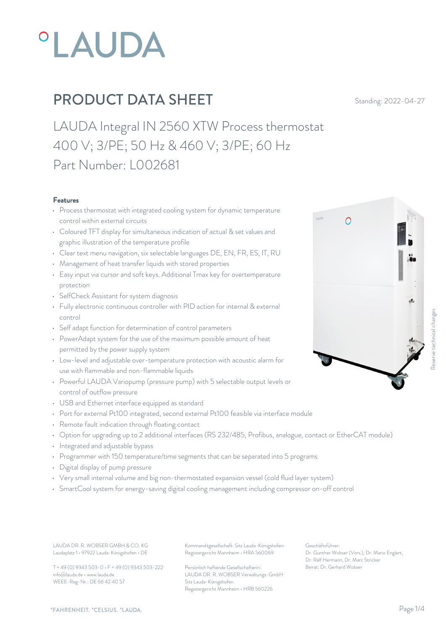

LAUDA Integral IN 2560 XTW Process thermostat 400 V; 3/PE; 50 Hz & 460 V; 3/PE; 60 Hz Part Number: L002681

#### Features

- Process thermostat with integrated cooling system for dynamic temperature control within external circuits
- Coloured TFT display for simultaneous indication of actual & set values and graphic illustration of the temperature profile
- Clear text menu navigation, six selectable languages DE, EN, FR, ES, IT, RU
- Management of heat transfer liquids with stored properties
- Easy input via cursor and soft keys. Additional Tmax key for overtemperature protection
- SelfCheck Assistant for system diagnosis
- Fully electronic continuous controller with PID action for internal & external control
- Self adapt function for determination of control parameters
- PowerAdapt system for the use of the maximum possible amount of heat permitted by the power supply system
- Low-level and adjustable over-temperature protection with acoustic alarm for use with flammable and non-flammable liquids
- Powerful LAUDA Variopump (pressure pump) with 5 selectable output levels or control of outflow pressure
- USB and Ethernet interface equipped as standard
- Port for external Pt100 integrated, second external Pt100 feasible via interface module
- Remote fault indication through floating contact
- Option for upgrading up to 2 additional interfaces (RS 232/485, Profibus, analogue, contact or EtherCAT module)
- Integrated and adjustable bypass
- Programmer with 150 temperature/time segments that can be separated into 5 programs
- Digital display of pump pressure
- Very small internal volume and big non-thermostated expansion vessel (cold fluid layer system)
- SmartCool system for energy-saving digital cooling management including compressor on-off control

Laudaplatz 1 • 97922 Lauda-Königshofen • DE

T + 49 (0) 9343 503-0 • F + 49 (0) 9343 503-222 info@lauda.de • www.lauda.de WEEE-Reg-Nr.: DE 66 42 40 57

LAUDA DR. R. WOBSER GMBH & CO. KG Kommanditgesellschaft: Sitz Lauda-Königshofen Geschäftsführer: Registergericht Mannheim • HRA 560069

> Persönlich haftende Gesellschafterin: Beirat: Dr. Gerhard Wobse LAUDA DR. R. WOBSER Verwaltungs-GmbH Sitz Lauda-Königshofen Registergericht Mannheim • HRB 560226

Geschäftsführer: Dr. Gunther Wobser (Vors.), Dr. Mario Englert, Dr. Ralf Hermann, Dr. Marc Stricker Beirat: Dr. Gerhard Wobser Reserve technical changes

 $\bigcap$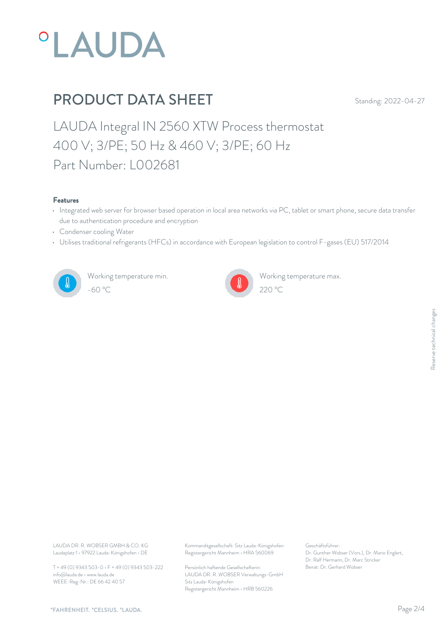

LAUDA Integral IN 2560 XTW Process thermostat 400 V; 3/PE; 50 Hz & 460 V; 3/PE; 60 Hz Part Number: L002681

#### Features

- Integrated web server for browser based operation in local area networks via PC, tablet or smart phone, secure data transfer due to authentication procedure and encryption
- Condenser cooling Water
- Utilises traditional refrigerants (HFCs) in accordance with European legislation to control F-gases (EU) 517/2014



Working temperature min. -60 °C 220 °C



Working temperature max.

Laudaplatz 1 • 97922 Lauda-Königshofen • DE

T + 49 (0) 9343 503-0 • F + 49 (0) 9343 503-222 info@lauda.de • www.lauda.de WEEE-Reg-Nr.: DE 66 42 40 57

LAUDA DR. R. WOBSER GMBH & CO. KG Kommanditgesellschaft: Sitz Lauda-Königshofen Geschäftsführer: Registergericht Mannheim • HRA 560069

> Persönlich haftende Gesellschafterin: Beirat: Dr. Gerhard Wobse LAUDA DR. R. WOBSER Verwaltungs-GmbH Sitz Lauda-Königshofen Registergericht Mannheim • HRB 560226

Geschäftsführer: Dr. Gunther Wobser (Vors.), Dr. Mario Englert, Dr. Ralf Hermann, Dr. Marc Stricker Beschäftsführer:<br>Dr. Gunther Wobser (Vors.), Dr. Mario Englert,<br>Dr. Ralf Hermann, Dr. Marc Stricker<br>Beirat: Dr. Gerhard Wobser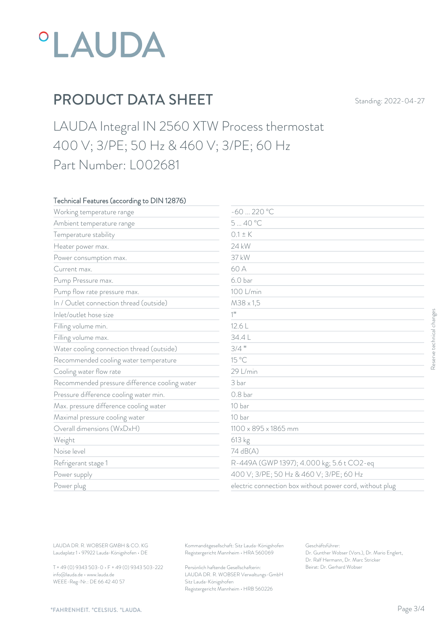

LAUDA Integral IN 2560 XTW Process thermostat 400 V; 3/PE; 50 Hz & 460 V; 3/PE; 60 Hz Part Number: L002681

### Technical Features (according to DIN 12876)

| Working temperature range                     | $-60220 °C$          |                                                          |
|-----------------------------------------------|----------------------|----------------------------------------------------------|
| Ambient temperature range                     | 540°C                |                                                          |
| Temperature stability                         | $0.1 \pm K$          |                                                          |
| Heater power max.                             | 24 kW                |                                                          |
| Power consumption max.                        | 37 kW                |                                                          |
| Current max.                                  | 60 A                 |                                                          |
| Pump Pressure max.                            | 6.0 <sub>bar</sub>   |                                                          |
| Pump flow rate pressure max.                  | 100 L/min            |                                                          |
| In / Outlet connection thread (outside)       | $M38 \times 1,5$     |                                                          |
| Inlet/outlet hose size                        | $1$ <sup>11</sup>    |                                                          |
| Filling volume min.                           | 12.6 L               |                                                          |
| Filling volume max.                           | 34.4L                |                                                          |
| Water cooling connection thread (outside)     | $3/4$ "              |                                                          |
| Recommended cooling water temperature         | 15 °C                |                                                          |
| Cooling water flow rate                       | 29 L/min             |                                                          |
| Recommended pressure difference cooling water | 3 bar                |                                                          |
| Pressure difference cooling water min.        | 0.8 <sub>bar</sub>   |                                                          |
| Max. pressure difference cooling water        | 10 bar               |                                                          |
| Maximal pressure cooling water                | 10 bar               |                                                          |
| Overall dimensions (WxDxH)                    | 1100 x 895 x 1865 mm |                                                          |
| Weight                                        | 613 kg               |                                                          |
| Noise level                                   | 74 dB(A)             |                                                          |
| Refrigerant stage 1                           |                      | R-449A (GWP 1397); 4.000 kg; 5.6 t CO2-eq                |
| Power supply                                  |                      | 400 V; 3/PE; 50 Hz & 460 V; 3/PE; 60 Hz                  |
| Power plug                                    |                      | electric connection box without power cord, without plug |

T + 49 (0) 9343 503-0 • F + 49 (0) 9343 503-222 info@lauda.de • www.lauda.de WEEE-Reg-Nr.: DE 66 42 40 57

> Persönlich haftende Gesellschafterin: Beirat: Dr. Gerhard Wobse LAUDA DR. R. WOBSER Verwaltungs-GmbH Sitz Lauda-Königshofen Registergericht Mannheim • HRB 560226